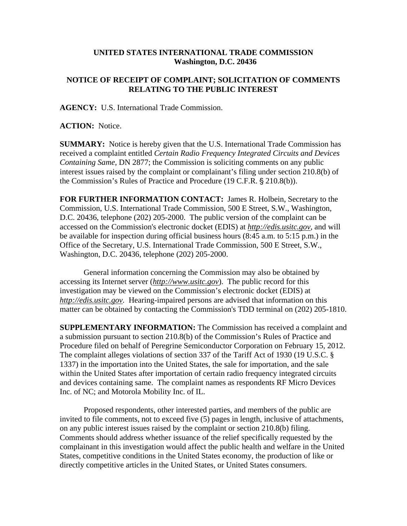## **UNITED STATES INTERNATIONAL TRADE COMMISSION Washington, D.C. 20436**

## **NOTICE OF RECEIPT OF COMPLAINT; SOLICITATION OF COMMENTS RELATING TO THE PUBLIC INTEREST**

**AGENCY:** U.S. International Trade Commission.

**ACTION:** Notice.

**SUMMARY:** Notice is hereby given that the U.S. International Trade Commission has received a complaint entitled *Certain Radio Frequency Integrated Circuits and Devices Containing Same,* DN 2877; the Commission is soliciting comments on any public interest issues raised by the complaint or complainant's filing under section 210.8(b) of the Commission's Rules of Practice and Procedure (19 C.F.R. § 210.8(b)).

**FOR FURTHER INFORMATION CONTACT:** James R. Holbein, Secretary to the Commission, U.S. International Trade Commission, 500 E Street, S.W., Washington, D.C. 20436, telephone (202) 205-2000. The public version of the complaint can be accessed on the Commission's electronic docket (EDIS) at *http://edis.usitc.gov*, and will be available for inspection during official business hours (8:45 a.m. to 5:15 p.m.) in the Office of the Secretary, U.S. International Trade Commission, 500 E Street, S.W., Washington, D.C. 20436, telephone (202) 205-2000.

General information concerning the Commission may also be obtained by accessing its Internet server (*http://www.usitc.gov*). The public record for this investigation may be viewed on the Commission's electronic docket (EDIS) at *http://edis.usitc.gov.* Hearing-impaired persons are advised that information on this matter can be obtained by contacting the Commission's TDD terminal on (202) 205-1810.

**SUPPLEMENTARY INFORMATION:** The Commission has received a complaint and a submission pursuant to section 210.8(b) of the Commission's Rules of Practice and Procedure filed on behalf of Peregrine Semiconductor Corporation on February 15, 2012. The complaint alleges violations of section 337 of the Tariff Act of 1930 (19 U.S.C. § 1337) in the importation into the United States, the sale for importation, and the sale within the United States after importation of certain radio frequency integrated circuits and devices containing same. The complaint names as respondents RF Micro Devices Inc. of NC; and Motorola Mobility Inc. of IL.

Proposed respondents, other interested parties, and members of the public are invited to file comments, not to exceed five (5) pages in length, inclusive of attachments, on any public interest issues raised by the complaint or section 210.8(b) filing. Comments should address whether issuance of the relief specifically requested by the complainant in this investigation would affect the public health and welfare in the United States, competitive conditions in the United States economy, the production of like or directly competitive articles in the United States, or United States consumers.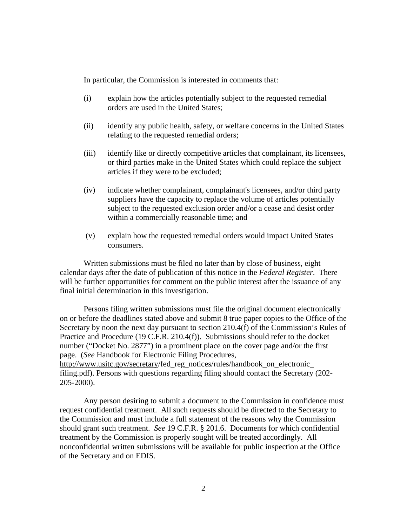In particular, the Commission is interested in comments that:

- (i) explain how the articles potentially subject to the requested remedial orders are used in the United States;
- (ii) identify any public health, safety, or welfare concerns in the United States relating to the requested remedial orders;
- (iii) identify like or directly competitive articles that complainant, its licensees, or third parties make in the United States which could replace the subject articles if they were to be excluded;
- (iv) indicate whether complainant, complainant's licensees, and/or third party suppliers have the capacity to replace the volume of articles potentially subject to the requested exclusion order and/or a cease and desist order within a commercially reasonable time; and
- (v) explain how the requested remedial orders would impact United States consumers.

Written submissions must be filed no later than by close of business, eight calendar days after the date of publication of this notice in the *Federal Register*. There will be further opportunities for comment on the public interest after the issuance of any final initial determination in this investigation.

Persons filing written submissions must file the original document electronically on or before the deadlines stated above and submit 8 true paper copies to the Office of the Secretary by noon the next day pursuant to section 210.4(f) of the Commission's Rules of Practice and Procedure (19 C.F.R. 210.4(f)). Submissions should refer to the docket number ("Docket No. 2877") in a prominent place on the cover page and/or the first page. (*See* Handbook for Electronic Filing Procedures, http://www.usitc.gov/secretary/fed\_reg\_notices/rules/handbook\_on\_electronic\_ filing.pdf). Persons with questions regarding filing should contact the Secretary (202-

205-2000).

Any person desiring to submit a document to the Commission in confidence must request confidential treatment. All such requests should be directed to the Secretary to the Commission and must include a full statement of the reasons why the Commission should grant such treatment. *See* 19 C.F.R. § 201.6. Documents for which confidential treatment by the Commission is properly sought will be treated accordingly. All nonconfidential written submissions will be available for public inspection at the Office of the Secretary and on EDIS.